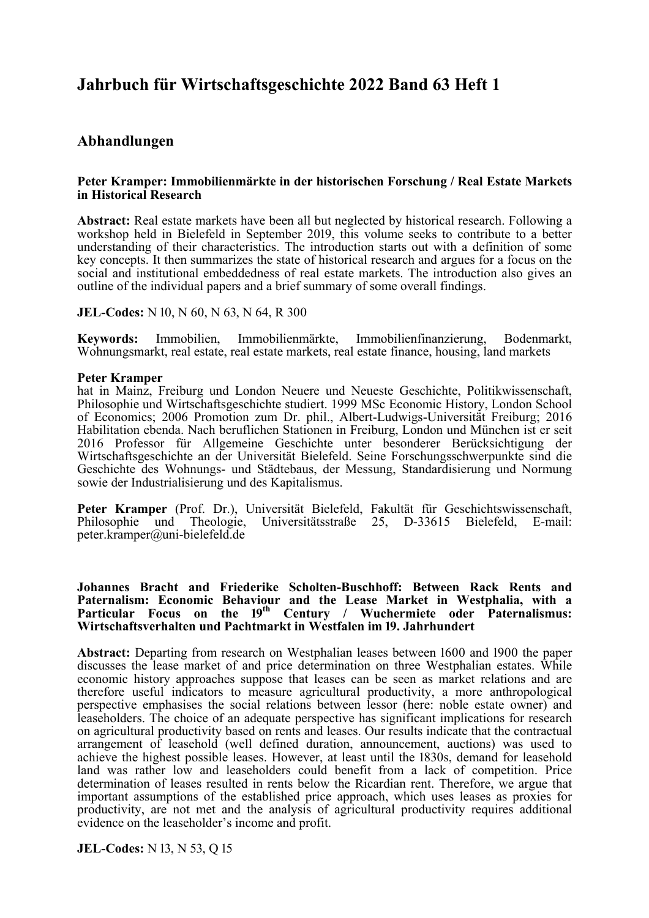# **Jahrbuch für Wirtschaftsgeschichte 2022 Band 63 Heft 1**

# **Abhandlungen**

### **Peter Kramper: Immobilienmärkte in der historischen Forschung / Real Estate Markets in Historical Research**

**Abstract:** Real estate markets have been all but neglected by historical research. Following a workshop held in Bielefeld in September 2019, this volume seeks to contribute to a better understanding of their characteristics. The introduction starts out with a definition of some key concepts. It then summarizes the state of historical research and argues for a focus on the social and institutional embeddedness of real estate markets. The introduction also gives an outline of the individual papers and a brief summary of some overall findings.

**JEL-Codes:** N 10, N 60, N 63, N 64, R 300

**Keywords:** Immobilien, Immobilienmärkte, Immobilienfinanzierung, Bodenmarkt, Wohnungsmarkt, real estate, real estate markets, real estate finance, housing, land markets

### **Peter Kramper**

hat in Mainz, Freiburg und London Neuere und Neueste Geschichte, Politikwissenschaft, Philosophie und Wirtschaftsgeschichte studiert. 1999 MSc Economic History, London School of Economics; 2006 Promotion zum Dr. phil., Albert-Ludwigs-Universität Freiburg; 2016 Habilitation ebenda. Nach beruflichen Stationen in Freiburg, London und München ist er seit 2016 Professor für Allgemeine Geschichte unter besonderer Berücksichtigung der Wirtschaftsgeschichte an der Universität Bielefeld. Seine Forschungsschwerpunkte sind die Geschichte des Wohnungs- und Städtebaus, der Messung, Standardisierung und Normung sowie der Industrialisierung und des Kapitalismus.

**Peter Kramper** (Prof. Dr.), Universität Bielefeld, Fakultät für Geschichtswissenschaft, Philosophie und Theologie. Universitätsstraße 25. D-33615 Bielefeld. E-mail: Theologie, Universitätsstraße 25, D-33615 Bielefeld, E-mail: peter.kramper@uni-bielefeld.de

**Johannes Bracht and Friederike Scholten-Buschhoff: Between Rack Rents and Paternalism: Economic Behaviour and the Lease Market in Westphalia, with a**  Particular Focus on the 19<sup>th</sup> Century / Wuchermiete oder Paternalismus: Wirtschaftsverhalten und Pachtmarkt in Westfalen im 19. Jahrhundert

Abstract: Departing from research on Westphalian leases between 1600 and 1900 the paper discusses the lease market of and price determination on three Westphalian estates. While economic history approaches suppose that leases can be seen as market relations and are therefore useful indicators to measure agricultural productivity, a more anthropological perspective emphasises the social relations between lessor (here: noble estate owner) and leaseholders. The choice of an adequate perspective has significant implications for research on agricultural productivity based on rents and leases. Our results indicate that the contractual arrangement of leasehold (well defined duration, announcement, auctions) was used to achieve the highest possible leases. However, at least until the 1830s, demand for leasehold land was rather low and leaseholders could benefit from a lack of competition. Price determination of leases resulted in rents below the Ricardian rent. Therefore, we argue that important assumptions of the established price approach, which uses leases as proxies for productivity, are not met and the analysis of agricultural productivity requires additional evidence on the leaseholder's income and profit.

**JEL-Codes:** N 13, N 53, Q 15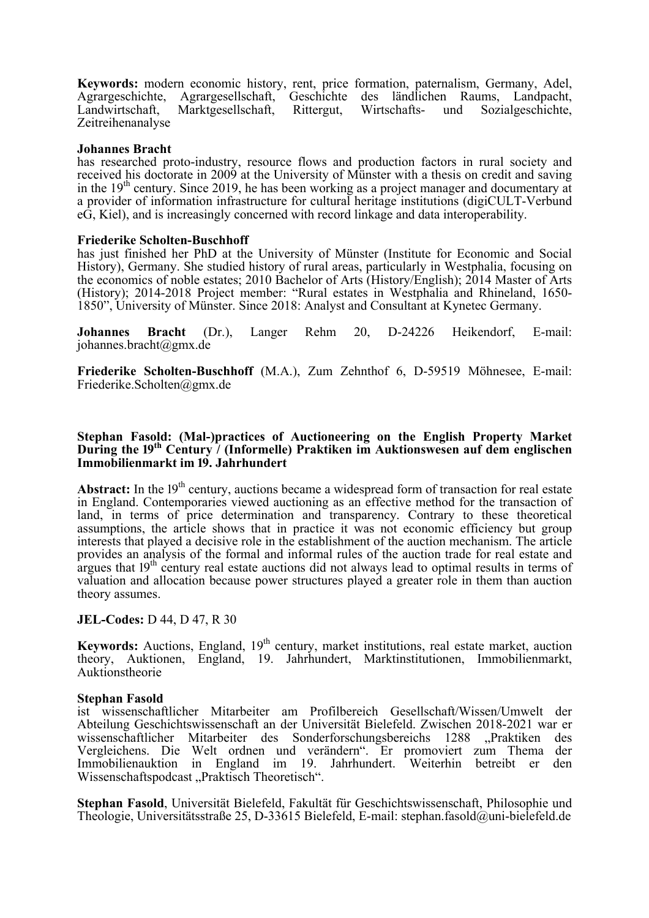**Keywords:** modern economic history, rent, price formation, paternalism, Germany, Adel, Agrargeschichte, Agrargesellschaft, Geschichte des ländlichen Raums, Landpacht, Landwirtschaft, Marktgesellschaft, Rittergut, Wirtschafts- und Sozialgeschichte, Zeitreihenanalyse

### **Johannes Bracht**

has researched proto-industry, resource flows and production factors in rural society and received his doctorate in 2009 at the University of Münster with a thesis on credit and saving in the  $19<sup>th</sup>$  century. Since 2019, he has been working as a project manager and documentary at a provider of information infrastructure for cultural heritage institutions (digiCULT-Verbund eG, Kiel), and is increasingly concerned with record linkage and data interoperability.

### **Friederike Scholten-Buschhoff**

has just finished her PhD at the University of Münster (Institute for Economic and Social History), Germany. She studied history of rural areas, particularly in Westphalia, focusing on the economics of noble estates; 2010 Bachelor of Arts (History/English); 2014 Master of Arts (History); 2014-2018 Project member: "Rural estates in Westphalia and Rhineland, 1650- 1850", University of Münster. Since 2018: Analyst and Consultant at Kynetec Germany.

**Johannes Bracht** (Dr.), Langer Rehm 20, D-24226 Heikendorf, E-mail: johannes.bracht@gmx.de

**Friederike Scholten-Buschhoff** (M.A.), Zum Zehnthof 6, D-59519 Möhnesee, E-mail: Friederike.Scholten@gmx.de

### **Stephan Fasold: (Mal-)practices of Auctioneering on the English Property Market During the 19<sup>th</sup> Century / (Informelle) Praktiken im Auktionswesen auf dem englischen Immobilienmarkt im 19. Jahrhundert**

Abstract: In the 19<sup>th</sup> century, auctions became a widespread form of transaction for real estate in England. Contemporaries viewed auctioning as an effective method for the transaction of land, in terms of price determination and transparency. Contrary to these theoretical assumptions, the article shows that in practice it was not economic efficiency but group interests that played a decisive role in the establishment of the auction mechanism. The article provides an analysis of the formal and informal rules of the auction trade for real estate and argues that  $19<sup>th</sup>$  century real estate auctions did not always lead to optimal results in terms of valuation and allocation because power structures played a greater role in them than auction theory assumes.

**JEL-Codes:** D 44, D 47, R 30

**Keywords:** Auctions, England, 19<sup>th</sup> century, market institutions, real estate market, auction theory, Auktionen, England, 19. Jahrhundert, Marktinstitutionen, Immobilienmarkt, Auktionstheorie

### **Stephan Fasold**

ist wissenschaftlicher Mitarbeiter am Profilbereich Gesellschaft/Wissen/Umwelt der Abteilung Geschichtswissenschaft an der Universität Bielefeld. Zwischen 2018-2021 war er wissenschaftlicher Mitarbeiter des Sonderforschungsbereichs 1288 "Praktiken des Vergleichens. Die Welt ordnen und verändern". Er promoviert zum Thema der Immobilienauktion in England im 19. Jahrhundert. Weiterhin betreibt er den Wissenschaftspodcast "Praktisch Theoretisch".

**Stephan Fasold**, Universität Bielefeld, Fakultät für Geschichtswissenschaft, Philosophie und Theologie, Universitätsstraße 25, D-33615 Bielefeld, E-mail: stephan.fasold@uni-bielefeld.de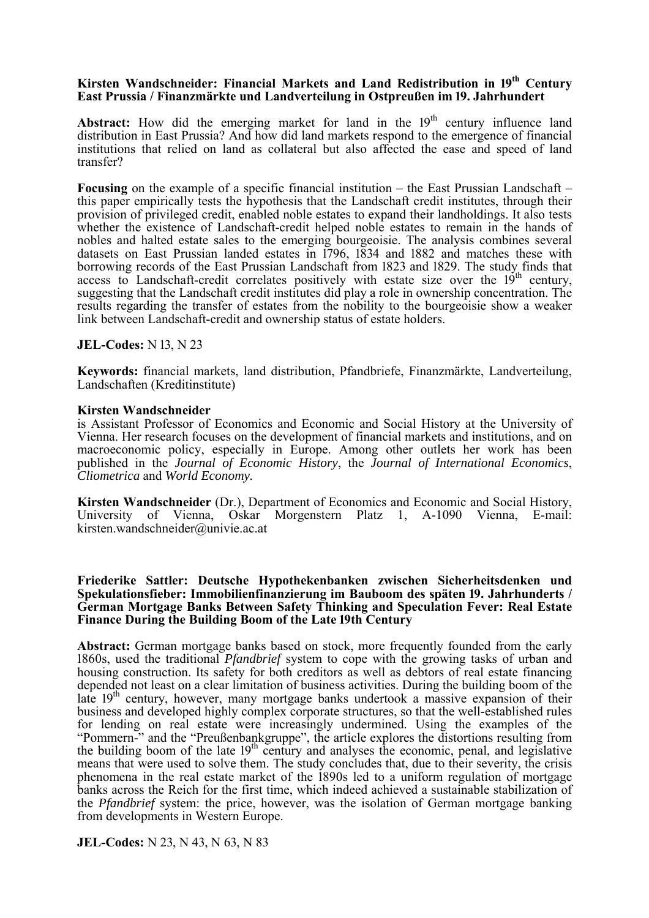### **Kirsten Wandschneider: Financial Markets and Land Redistribution in 19<sup>th</sup> Century East Prussia / Finanzmärkte und Landverteilung in Ostpreußen im 19. Jahrhundert**

Abstract: How did the emerging market for land in the 19<sup>th</sup> century influence land distribution in East Prussia? And how did land markets respond to the emergence of financial institutions that relied on land as collateral but also affected the ease and speed of land transfer?

**Focusing** on the example of a specific financial institution – the East Prussian Landschaft – this paper empirically tests the hypothesis that the Landschaft credit institutes, through their provision of privileged credit, enabled noble estates to expand their landholdings. It also tests whether the existence of Landschaft-credit helped noble estates to remain in the hands of nobles and halted estate sales to the emerging bourgeoisie. The analysis combines several datasets on East Prussian landed estates in  $1796$ ,  $1834$  and  $1882$  and matches these with borrowing records of the East Prussian Landschaft from 1823 and 1829. The study finds that access to Landschaft-credit correlates positively with estate size over the  $19<sup>th</sup>$  century, suggesting that the Landschaft credit institutes did play a role in ownership concentration. The results regarding the transfer of estates from the nobility to the bourgeoisie show a weaker link between Landschaft-credit and ownership status of estate holders.

### **JEL-Codes:** N 13, N 23

**Keywords:** financial markets, land distribution, Pfandbriefe, Finanzmärkte, Landverteilung, Landschaften (Kreditinstitute)

### **Kirsten Wandschneider**

is Assistant Professor of Economics and Economic and Social History at the University of Vienna. Her research focuses on the development of financial markets and institutions, and on macroeconomic policy, especially in Europe. Among other outlets her work has been published in the *Journal of Economic History*, the *Journal of International Economics*, *Cliometrica* and *World Economy.* 

**Kirsten Wandschneider** (Dr.), Department of Economics and Economic and Social History, University of Vienna, Oskar Morgenstern Platz 1, A-1090 Vienna, E-mail: kirsten.wandschneider@univie.ac.at

### **Friederike Sattler: Deutsche Hypothekenbanken zwischen Sicherheitsdenken und**  Spekulationsfieber: Immobilienfinanzierung im Bauboom des späten 19. Jahrhunderts / **German Mortgage Banks Between Safety Thinking and Speculation Fever: Real Estate Finance During the Building Boom of the Late 19th Century**

**Abstract:** German mortgage banks based on stock, more frequently founded from the early 1860s, used the traditional *Pfandbrief* system to cope with the growing tasks of urban and housing construction. Its safety for both creditors as well as debtors of real estate financing depended not least on a clear limitation of business activities. During the building boom of the late  $19<sup>th</sup>$  century, however, many mortgage banks undertook a massive expansion of their business and developed highly complex corporate structures, so that the well-established rules for lending on real estate were increasingly undermined. Using the examples of the "Pommern-" and the "Preußenbankgruppe", the article explores the distortions resulting from the building boom of the late  $19<sup>th</sup>$  century and analyses the economic, penal, and legislative means that were used to solve them. The study concludes that, due to their severity, the crisis phenomena in the real estate market of the 1890s led to a uniform regulation of mortgage banks across the Reich for the first time, which indeed achieved a sustainable stabilization of the *Pfandbrief* system: the price, however, was the isolation of German mortgage banking from developments in Western Europe.

**JEL-Codes:** N 23, N 43, N 63, N 83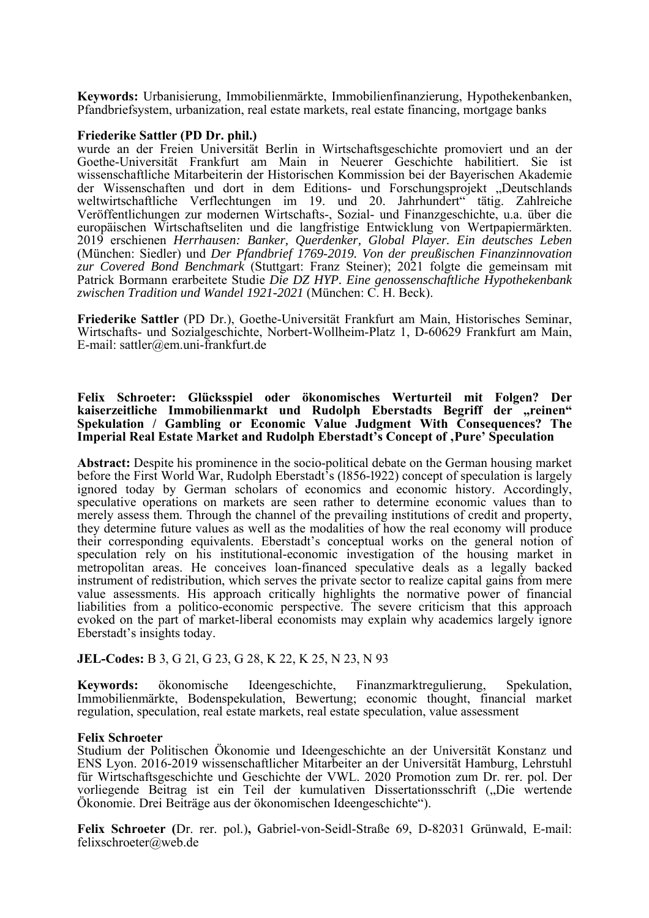**Keywords:** Urbanisierung, Immobilienmärkte, Immobilienfinanzierung, Hypothekenbanken, Pfandbriefsystem, urbanization, real estate markets, real estate financing, mortgage banks

#### **Friederike Sattler (PD Dr. phil.)**

wurde an der Freien Universität Berlin in Wirtschaftsgeschichte promoviert und an der Goethe-Universität Frankfurt am Main in Neuerer Geschichte habilitiert. Sie ist wissenschaftliche Mitarbeiterin der Historischen Kommission bei der Bayerischen Akademie der Wissenschaften und dort in dem Editions- und Forschungsprojekt "Deutschlands weltwirtschaftliche Verflechtungen im 19. und 20. Jahrhundert" tätig. Zahlreiche Veröffentlichungen zur modernen Wirtschafts-, Sozial- und Finanzgeschichte, u.a. über die europäischen Wirtschaftseliten und die langfristige Entwicklung von Wertpapiermärkten. 2019 erschienen *Herrhausen: Banker, Querdenker, Global Player. Ein deutsches Leben*  (München: Siedler) und *Der Pfandbrief 1769*-*2019. Von der preußischen Finanzinnovation zur Covered Bond Benchmark* (Stuttgart: Franz Steiner); 2021 folgte die gemeinsam mit Patrick Bormann erarbeitete Studie *Die DZ HYP. Eine genossenschaftliche Hypothekenbank zwischen Tradition und Wandel 1921-2021* (München: C. H. Beck).

**Friederike Sattler** (PD Dr.), Goethe-Universität Frankfurt am Main, Historisches Seminar, Wirtschafts- und Sozialgeschichte, Norbert-Wollheim-Platz 1, D-60629 Frankfurt am Main, E-mail: sattler@em.uni-frankfurt.de

#### **Felix Schroeter: Glücksspiel oder ökonomisches Werturteil mit Folgen? Der**  kaiserzeitliche Immobilienmarkt und Rudolph Eberstadts Begriff der "reinen" **Spekulation / Gambling or Economic Value Judgment With Consequences? The Imperial Real Estate Market and Rudolph Eberstadt's Concept of 'Pure' Speculation**

**Abstract:** Despite his prominence in the socio-political debate on the German housing market before the First World War, Rudolph Eberstadt's  $(1856-1922)$  concept of speculation is largely ignored today by German scholars of economics and economic history. Accordingly, speculative operations on markets are seen rather to determine economic values than to merely assess them. Through the channel of the prevailing institutions of credit and property, they determine future values as well as the modalities of how the real economy will produce their corresponding equivalents. Eberstadt's conceptual works on the general notion of speculation rely on his institutional-economic investigation of the housing market in metropolitan areas. He conceives loan-financed speculative deals as a legally backed instrument of redistribution, which serves the private sector to realize capital gains from mere value assessments. His approach critically highlights the normative power of financial liabilities from a politico-economic perspective. The severe criticism that this approach evoked on the part of market-liberal economists may explain why academics largely ignore Eberstadt's insights today.

### **JEL-Codes:** B 3, G 21, G 23, G 28, K 22, K 25, N 23, N 93

**Keywords:** ökonomische Ideengeschichte, Finanzmarktregulierung, Spekulation, Immobilienmärkte, Bodenspekulation, Bewertung; economic thought, financial market regulation, speculation, real estate markets, real estate speculation, value assessment

#### **Felix Schroeter**

Studium der Politischen Ökonomie und Ideengeschichte an der Universität Konstanz und ENS Lyon. 2016-2019 wissenschaftlicher Mitarbeiter an der Universität Hamburg, Lehrstuhl für Wirtschaftsgeschichte und Geschichte der VWL. 2020 Promotion zum Dr. rer. pol. Der vorliegende Beitrag ist ein Teil der kumulativen Dissertationsschrift ("Die wertende Ökonomie. Drei Beiträge aus der ökonomischen Ideengeschichte").

**Felix Schroeter (**Dr. rer. pol.)**,** Gabriel-von-Seidl-Straße 69, D-82031 Grünwald, E-mail: felixschroeter@web.de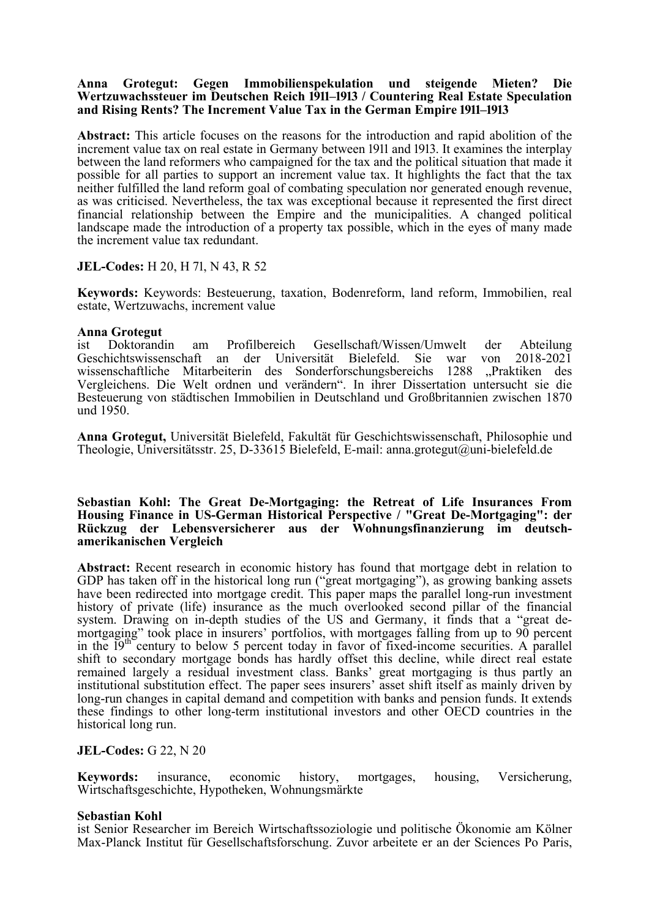### **Anna Grotegut: Gegen Immobilienspekulation und steigende Mieten? Die Wertzuwachssteuer im Deutschen Reich 1911–1913 / Countering Real Estate Speculation** and Rising Rents? The Increment Value Tax in the German Empire 1911–1913

**Abstract:** This article focuses on the reasons for the introduction and rapid abolition of the increment value tax on real estate in Germany between 1911 and 1913. It examines the interplay between the land reformers who campaigned for the tax and the political situation that made it possible for all parties to support an increment value tax. It highlights the fact that the tax neither fulfilled the land reform goal of combating speculation nor generated enough revenue, as was criticised. Nevertheless, the tax was exceptional because it represented the first direct financial relationship between the Empire and the municipalities. A changed political landscape made the introduction of a property tax possible, which in the eyes of many made the increment value tax redundant.

### **JEL-Codes:** H 20, H 71, N 43, R 52

**Keywords:** Keywords: Besteuerung, taxation, Bodenreform, land reform, Immobilien, real estate, Wertzuwachs, increment value

### **Anna Grotegut**

ist Doktorandin am Profilbereich Gesellschaft/Wissen/Umwelt der Abteilung Geschichtswissenschaft an der Universität Bielefeld. Sie war von 2018-2021 wissenschaftliche Mitarbeiterin des Sonderforschungsbereichs 1288 "Praktiken des Vergleichens. Die Welt ordnen und verändern". In ihrer Dissertation untersucht sie die Besteuerung von städtischen Immobilien in Deutschland und Großbritannien zwischen 1870 und 1950.

**Anna Grotegut,** Universität Bielefeld, Fakultät für Geschichtswissenschaft, Philosophie und Theologie, Universitätsstr. 25, D-33615 Bielefeld, E-mail: anna.grotegut@uni-bielefeld.de

### **Sebastian Kohl: The Great De-Mortgaging: the Retreat of Life Insurances From Housing Finance in US-German Historical Perspective / "Great De-Mortgaging": der Rückzug der Lebensversicherer aus der Wohnungsfinanzierung im deutschamerikanischen Vergleich**

**Abstract:** Recent research in economic history has found that mortgage debt in relation to GDP has taken off in the historical long run ("great mortgaging"), as growing banking assets have been redirected into mortgage credit. This paper maps the parallel long-run investment history of private (life) insurance as the much overlooked second pillar of the financial system. Drawing on in-depth studies of the US and Germany, it finds that a "great demortgaging" took place in insurers' portfolios, with mortgages falling from up to  $90$  percent in the  $19<sup>th</sup>$  century to below 5 percent today in favor of fixed-income securities. A parallel shift to secondary mortgage bonds has hardly offset this decline, while direct real estate remained largely a residual investment class. Banks' great mortgaging is thus partly an institutional substitution effect. The paper sees insurers' asset shift itself as mainly driven by long-run changes in capital demand and competition with banks and pension funds. It extends these findings to other long-term institutional investors and other OECD countries in the historical long run.

### **JEL-Codes:** G 22, N 20

**Keywords:** insurance, economic history, mortgages, housing, Versicherung, Wirtschaftsgeschichte, Hypotheken, Wohnungsmärkte

### **Sebastian Kohl**

ist Senior Researcher im Bereich Wirtschaftssoziologie und politische Ökonomie am Kölner Max-Planck Institut für Gesellschaftsforschung. Zuvor arbeitete er an der Sciences Po Paris,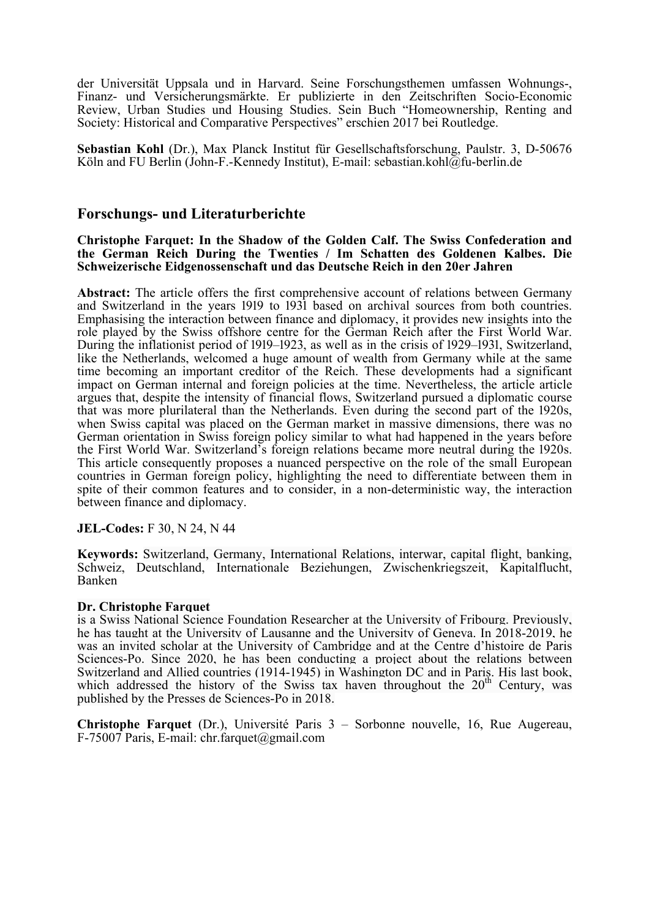der Universität Uppsala und in Harvard. Seine Forschungsthemen umfassen Wohnungs-, Finanz- und Versicherungsmärkte. Er publizierte in den Zeitschriften Socio-Economic Review, Urban Studies und Housing Studies. Sein Buch "Homeownership, Renting and Society: Historical and Comparative Perspectives" erschien 2017 bei Routledge.

**Sebastian Kohl** (Dr.), Max Planck Institut für Gesellschaftsforschung, Paulstr. 3, D-50676 Köln and FU Berlin (John-F.-Kennedy Institut), E-mail: sebastian.kohl@fu-berlin.de

## **Forschungs- und Literaturberichte**

### **Christophe Farquet: In the Shadow of the Golden Calf. The Swiss Confederation and the German Reich During the Twenties / Im Schatten des Goldenen Kalbes. Die Schweizerische Eidgenossenschaft und das Deutsche Reich in den 20er Jahren**

**Abstract:** The article offers the first comprehensive account of relations between Germany and Switzerland in the years 1919 to 1931 based on archival sources from both countries. Emphasising the interaction between finance and diplomacy, it provides new insights into the role played by the Swiss offshore centre for the German Reich after the First World War. During the inflationist period of  $1919-1923$ , as well as in the crisis of  $1929-1931$ , Switzerland, like the Netherlands, welcomed a huge amount of wealth from Germany while at the same time becoming an important creditor of the Reich. These developments had a significant impact on German internal and foreign policies at the time. Nevertheless, the article article argues that, despite the intensity of financial flows, Switzerland pursued a diplomatic course that was more plurilateral than the Netherlands. Even during the second part of the 1920s, when Swiss capital was placed on the German market in massive dimensions, there was no German orientation in Swiss foreign policy similar to what had happened in the years before the First World War. Switzerland's foreign relations became more neutral during the 1920s. This article consequently proposes a nuanced perspective on the role of the small European countries in German foreign policy, highlighting the need to differentiate between them in spite of their common features and to consider, in a non-deterministic way, the interaction between finance and diplomacy.

### **JEL-Codes:** F 30, N 24, N 44

**Keywords:** Switzerland, Germany, International Relations, interwar, capital flight, banking, Schweiz, Deutschland, Internationale Beziehungen, Zwischenkriegszeit, Kapitalflucht, Banken

### **Dr. Christophe Farquet**

is a Swiss National Science Foundation Researcher at the University of Fribourg. Previously, he has taught at the University of Lausanne and the University of Geneva. In 2018-2019, he was an invited scholar at the University of Cambridge and at the Centre d'histoire de Paris Sciences-Po. Since 2020, he has been conducting a project about the relations between Switzerland and Allied countries (1914-1945) in Washington DC and in Paris. His last book, which addressed the history of the Swiss tax haven throughout the  $20<sup>th</sup>$  Century, was published by the Presses de Sciences-Po in 2018.

**Christophe Farquet** (Dr.), Université Paris 3 – Sorbonne nouvelle, 16, Rue Augereau, F-75007 Paris, E-mail: chr.farquet@gmail.com